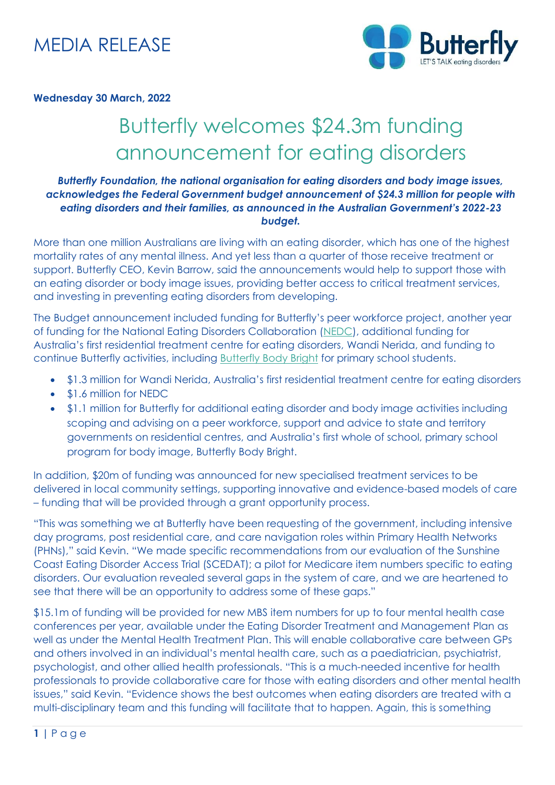

#### **Wednesday 30 March, 2022**

# Butterfly welcomes \$24.3m funding announcement for eating disorders

### *Butterfly Foundation, the national organisation for eating disorders and body image issues, acknowledges the Federal Government budget announcement of \$24.3 million for people with eating disorders and their families, as announced in the Australian Government's 2022-23 budget.*

More than one million Australians are living with an eating disorder, which has one of the highest mortality rates of any mental illness. And yet less than a quarter of those receive treatment or support. Butterfly CEO, Kevin Barrow, said the announcements would help to support those with an eating disorder or body image issues, providing better access to critical treatment services, and investing in preventing eating disorders from developing.

The Budget announcement included funding for Butterfly's peer workforce project, another year of funding for the National Eating Disorders Collaboration [\(NEDC\)](https://nedc.com.au/), additional funding for Australia's first residential treatment centre for eating disorders, Wandi Nerida, and funding to continue Butterfly activities, including [Butterfly Body Bright](https://butterfly.org.au/school-youth-professionals/about-our-programs/bodybright/) for primary school students.

- \$1.3 million for Wandi Nerida, Australia's first residential treatment centre for eating disorders
- \$1.6 million for NEDC
- \$1.1 million for Butterfly for additional eating disorder and body image activities including scoping and advising on a peer workforce, support and advice to state and territory governments on residential centres, and Australia's first whole of school, primary school program for body image, Butterfly Body Bright.

In addition, \$20m of funding was announced for new specialised treatment services to be delivered in local community settings, supporting innovative and evidence-based models of care – funding that will be provided through a grant opportunity process.

"This was something we at Butterfly have been requesting of the government, including intensive day programs, post residential care, and care navigation roles within Primary Health Networks (PHNs)," said Kevin. "We made specific recommendations from our evaluation of the Sunshine Coast Eating Disorder Access Trial (SCEDAT); a pilot for Medicare item numbers specific to eating disorders. Our evaluation revealed several gaps in the system of care, and we are heartened to see that there will be an opportunity to address some of these gaps."

\$15.1m of funding will be provided for new MBS item numbers for up to four mental health case conferences per year, available under the Eating Disorder Treatment and Management Plan as well as under the Mental Health Treatment Plan. This will enable collaborative care between GPs and others involved in an individual's mental health care, such as a paediatrician, psychiatrist, psychologist, and other allied health professionals. "This is a much-needed incentive for health professionals to provide collaborative care for those with eating disorders and other mental health issues," said Kevin. "Evidence shows the best outcomes when eating disorders are treated with a multi-disciplinary team and this funding will facilitate that to happen. Again, this is something